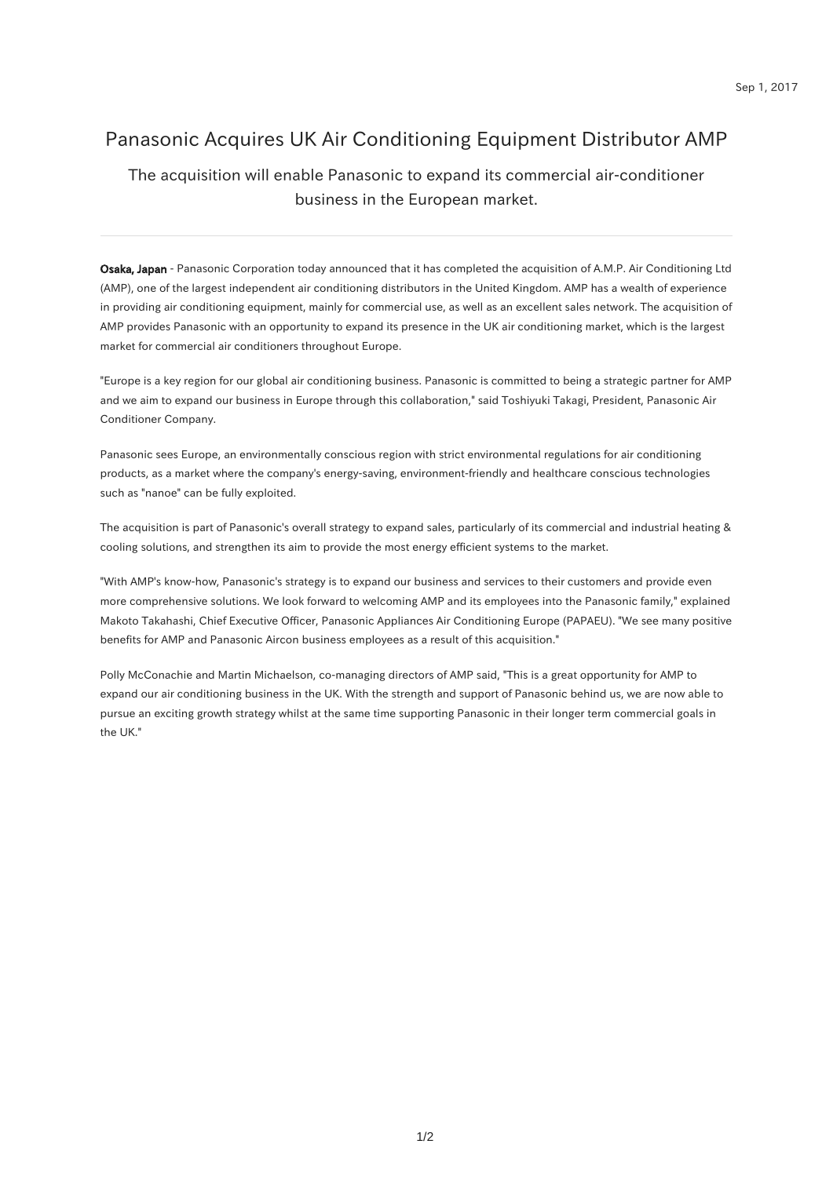# Panasonic Acquires UK Air Conditioning Equipment Distributor AMP

#### The acquisition will enable Panasonic to expand its commercial air-conditioner business in the European market.

Osaka, Japan - Panasonic Corporation today announced that it has completed the acquisition of A.M.P. Air Conditioning Ltd (AMP), one of the largest independent air conditioning distributors in the United Kingdom. AMP has a wealth of experience in providing air conditioning equipment, mainly for commercial use, as well as an excellent sales network. The acquisition of AMP provides Panasonic with an opportunity to expand its presence in the UK air conditioning market, which is the largest market for commercial air conditioners throughout Europe.

"Europe is a key region for our global air conditioning business. Panasonic is committed to being a strategic partner for AMP and we aim to expand our business in Europe through this collaboration," said Toshiyuki Takagi, President, Panasonic Air Conditioner Company.

Panasonic sees Europe, an environmentally conscious region with strict environmental regulations for air conditioning products, as a market where the company's energy-saving, environment-friendly and healthcare conscious technologies such as "nanoe" can be fully exploited.

The acquisition is part of Panasonic's overall strategy to expand sales, particularly of its commercial and industrial heating & cooling solutions, and strengthen its aim to provide the most energy efficient systems to the market.

"With AMP's know-how, Panasonic's strategy is to expand our business and services to their customers and provide even more comprehensive solutions. We look forward to welcoming AMP and its employees into the Panasonic family," explained Makoto Takahashi, Chief Executive Officer, Panasonic Appliances Air Conditioning Europe (PAPAEU). "We see many positive benefits for AMP and Panasonic Aircon business employees as a result of this acquisition."

Polly McConachie and Martin Michaelson, co-managing directors of AMP said, "This is a great opportunity for AMP to expand our air conditioning business in the UK. With the strength and support of Panasonic behind us, we are now able to pursue an exciting growth strategy whilst at the same time supporting Panasonic in their longer term commercial goals in the UK."